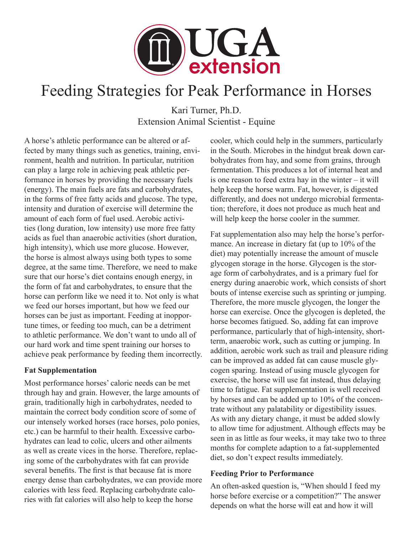

# Feeding Strategies for Peak Performance in Horses

Kari Turner, Ph.D. Extension Animal Scientist - Equine

A horse's athletic performance can be altered or affected by many things such as genetics, training, environment, health and nutrition. In particular, nutrition can play a large role in achieving peak athletic performance in horses by providing the necessary fuels (energy). The main fuels are fats and carbohydrates, in the forms of free fatty acids and glucose. The type, intensity and duration of exercise will determine the amount of each form of fuel used. Aerobic activities (long duration, low intensity) use more free fatty acids as fuel than anaerobic activities (short duration, high intensity), which use more glucose. However, the horse is almost always using both types to some degree, at the same time. Therefore, we need to make sure that our horse's diet contains enough energy, in the form of fat and carbohydrates, to ensure that the horse can perform like we need it to. Not only is what we feed our horses important, but how we feed our horses can be just as important. Feeding at inopportune times, or feeding too much, can be a detriment to athletic performance. We don't want to undo all of our hard work and time spent training our horses to achieve peak performance by feeding them incorrectly.

### **Fat Supplementation**

Most performance horses' caloric needs can be met through hay and grain. However, the large amounts of grain, traditionally high in carbohydrates, needed to maintain the correct body condition score of some of our intensely worked horses (race horses, polo ponies, etc.) can be harmful to their health. Excessive carbohydrates can lead to colic, ulcers and other ailments as well as create vices in the horse. Therefore, replacing some of the carbohydrates with fat can provide several benefits. The first is that because fat is more energy dense than carbohydrates, we can provide more calories with less feed. Replacing carbohydrate calories with fat calories will also help to keep the horse

cooler, which could help in the summers, particularly in the South. Microbes in the hindgut break down carbohydrates from hay, and some from grains, through fermentation. This produces a lot of internal heat and is one reason to feed extra hay in the winter – it will help keep the horse warm. Fat, however, is digested differently, and does not undergo microbial fermentation; therefore, it does not produce as much heat and will help keep the horse cooler in the summer.

Fat supplementation also may help the horse's performance. An increase in dietary fat (up to 10% of the diet) may potentially increase the amount of muscle glycogen storage in the horse. Glycogen is the storage form of carbohydrates, and is a primary fuel for energy during anaerobic work, which consists of short bouts of intense exercise such as sprinting or jumping. Therefore, the more muscle glycogen, the longer the horse can exercise. Once the glycogen is depleted, the horse becomes fatigued. So, adding fat can improve performance, particularly that of high-intensity, shortterm, anaerobic work, such as cutting or jumping. In addition, aerobic work such as trail and pleasure riding can be improved as added fat can cause muscle glycogen sparing. Instead of using muscle glycogen for exercise, the horse will use fat instead, thus delaying time to fatigue. Fat supplementation is well received by horses and can be added up to 10% of the concentrate without any palatability or digestibility issues. As with any dietary change, it must be added slowly to allow time for adjustment. Although effects may be seen in as little as four weeks, it may take two to three months for complete adaption to a fat-supplemented diet, so don't expect results immediately.

### **Feeding Prior to Performance**

An often-asked question is, "When should I feed my horse before exercise or a competition?" The answer depends on what the horse will eat and how it will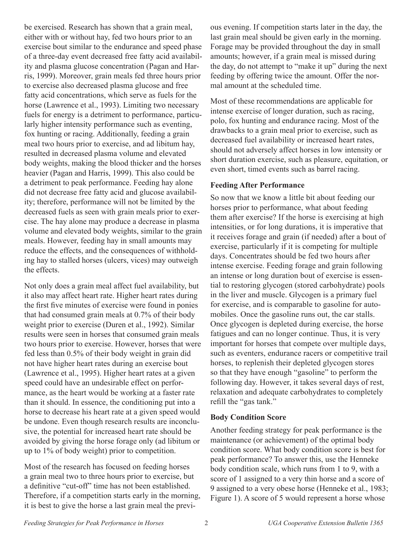be exercised. Research has shown that a grain meal, either with or without hay, fed two hours prior to an exercise bout similar to the endurance and speed phase of a three-day event decreased free fatty acid availability and plasma glucose concentration (Pagan and Harris, 1999). Moreover, grain meals fed three hours prior to exercise also decreased plasma glucose and free fatty acid concentrations, which serve as fuels for the horse (Lawrence et al., 1993). Limiting two necessary fuels for energy is a detriment to performance, particularly higher intensity performance such as eventing, fox hunting or racing. Additionally, feeding a grain meal two hours prior to exercise, and ad libitum hay, resulted in decreased plasma volume and elevated body weights, making the blood thicker and the horses heavier (Pagan and Harris, 1999). This also could be a detriment to peak performance. Feeding hay alone did not decrease free fatty acid and glucose availability; therefore, performance will not be limited by the decreased fuels as seen with grain meals prior to exercise. The hay alone may produce a decrease in plasma volume and elevated body weights, similar to the grain meals. However, feeding hay in small amounts may reduce the effects, and the consequences of withholding hay to stalled horses (ulcers, vices) may outweigh the effects.

Not only does a grain meal affect fuel availability, but it also may affect heart rate. Higher heart rates during the first five minutes of exercise were found in ponies that had consumed grain meals at 0.7% of their body weight prior to exercise (Duren et al., 1992). Similar results were seen in horses that consumed grain meals two hours prior to exercise. However, horses that were fed less than 0.5% of their body weight in grain did not have higher heart rates during an exercise bout (Lawrence et al., 1995). Higher heart rates at a given speed could have an undesirable effect on performance, as the heart would be working at a faster rate than it should. In essence, the conditioning put into a horse to decrease his heart rate at a given speed would be undone. Even though research results are inconclusive, the potential for increased heart rate should be avoided by giving the horse forage only (ad libitum or up to 1% of body weight) prior to competition.

Most of the research has focused on feeding horses a grain meal two to three hours prior to exercise, but a definitive "cut-off" time has not been established. Therefore, if a competition starts early in the morning, it is best to give the horse a last grain meal the previous evening. If competition starts later in the day, the last grain meal should be given early in the morning. Forage may be provided throughout the day in small amounts; however, if a grain meal is missed during the day, do not attempt to "make it up" during the next feeding by offering twice the amount. Offer the normal amount at the scheduled time.

Most of these recommendations are applicable for intense exercise of longer duration, such as racing, polo, fox hunting and endurance racing. Most of the drawbacks to a grain meal prior to exercise, such as decreased fuel availability or increased heart rates, should not adversely affect horses in low intensity or short duration exercise, such as pleasure, equitation, or even short, timed events such as barrel racing.

#### **Feeding After Performance**

So now that we know a little bit about feeding our horses prior to performance, what about feeding them after exercise? If the horse is exercising at high intensities, or for long durations, it is imperative that it receives forage and grain (if needed) after a bout of exercise, particularly if it is competing for multiple days. Concentrates should be fed two hours after intense exercise. Feeding forage and grain following an intense or long duration bout of exercise is essential to restoring glycogen (stored carbohydrate) pools in the liver and muscle. Glycogen is a primary fuel for exercise, and is comparable to gasoline for automobiles. Once the gasoline runs out, the car stalls. Once glycogen is depleted during exercise, the horse fatigues and can no longer continue. Thus, it is very important for horses that compete over multiple days, such as eventers, endurance racers or competitive trail horses, to replenish their depleted glycogen stores so that they have enough "gasoline" to perform the following day. However, it takes several days of rest, relaxation and adequate carbohydrates to completely refill the "gas tank."

### **Body Condition Score**

Another feeding strategy for peak performance is the maintenance (or achievement) of the optimal body condition score. What body condition score is best for peak performance? To answer this, use the Henneke body condition scale, which runs from 1 to 9, with a score of 1 assigned to a very thin horse and a score of 9 assigned to a very obese horse (Henneke et al., 1983; Figure 1). A score of 5 would represent a horse whose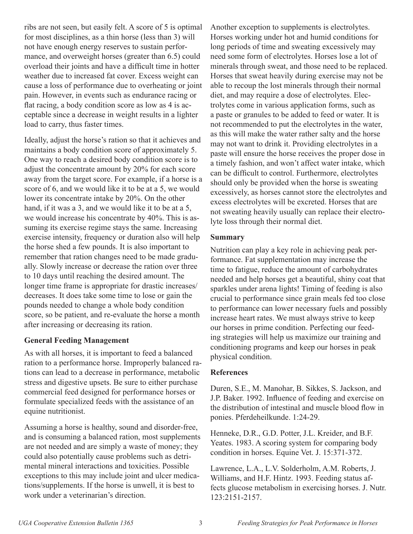ribs are not seen, but easily felt. A score of 5 is optimal for most disciplines, as a thin horse (less than 3) will not have enough energy reserves to sustain performance, and overweight horses (greater than 6.5) could overload their joints and have a difficult time in hotter weather due to increased fat cover. Excess weight can cause a loss of performance due to overheating or joint pain. However, in events such as endurance racing or flat racing, a body condition score as low as 4 is acceptable since a decrease in weight results in a lighter load to carry, thus faster times.

Ideally, adjust the horse's ration so that it achieves and maintains a body condition score of approximately 5. One way to reach a desired body condition score is to adjust the concentrate amount by 20% for each score away from the target score. For example, if a horse is a score of 6, and we would like it to be at a 5, we would lower its concentrate intake by 20%. On the other hand, if it was a 3, and we would like it to be at a 5, we would increase his concentrate by 40%. This is assuming its exercise regime stays the same. Increasing exercise intensity, frequency or duration also will help the horse shed a few pounds. It is also important to remember that ration changes need to be made gradually. Slowly increase or decrease the ration over three to 10 days until reaching the desired amount. The longer time frame is appropriate for drastic increases/ decreases. It does take some time to lose or gain the pounds needed to change a whole body condition score, so be patient, and re-evaluate the horse a month after increasing or decreasing its ration.

#### **General Feeding Management**

As with all horses, it is important to feed a balanced ration to a performance horse. Improperly balanced rations can lead to a decrease in performance, metabolic stress and digestive upsets. Be sure to either purchase commercial feed designed for performance horses or formulate specialized feeds with the assistance of an equine nutritionist.

Assuming a horse is healthy, sound and disorder-free, and is consuming a balanced ration, most supplements are not needed and are simply a waste of money; they could also potentially cause problems such as detrimental mineral interactions and toxicities. Possible exceptions to this may include joint and ulcer medications/supplements. If the horse is unwell, it is best to work under a veterinarian's direction.

Another exception to supplements is electrolytes. Horses working under hot and humid conditions for long periods of time and sweating excessively may need some form of electrolytes. Horses lose a lot of minerals through sweat, and those need to be replaced. Horses that sweat heavily during exercise may not be able to recoup the lost minerals through their normal diet, and may require a dose of electrolytes. Electrolytes come in various application forms, such as a paste or granules to be added to feed or water. It is not recommended to put the electrolytes in the water, as this will make the water rather salty and the horse may not want to drink it. Providing electrolytes in a paste will ensure the horse receives the proper dose in a timely fashion, and won't affect water intake, which can be difficult to control. Furthermore, electrolytes should only be provided when the horse is sweating excessively, as horses cannot store the electrolytes and excess electrolytes will be excreted. Horses that are not sweating heavily usually can replace their electrolyte loss through their normal diet.

#### **Summary**

Nutrition can play a key role in achieving peak performance. Fat supplementation may increase the time to fatigue, reduce the amount of carbohydrates needed and help horses get a beautiful, shiny coat that sparkles under arena lights! Timing of feeding is also crucial to performance since grain meals fed too close to performance can lower necessary fuels and possibly increase heart rates. We must always strive to keep our horses in prime condition. Perfecting our feeding strategies will help us maximize our training and conditioning programs and keep our horses in peak physical condition.

### **References**

Duren, S.E., M. Manohar, B. Sikkes, S. Jackson, and J.P. Baker. 1992. Influence of feeding and exercise on the distribution of intestinal and muscle blood flow in ponies. Pferdeheilkunde. 1:24-29.

Henneke, D.R., G.D. Potter, J.L. Kreider, and B.F. Yeates. 1983. A scoring system for comparing body condition in horses. Equine Vet. J. 15:371-372.

Lawrence, L.A., L.V. Solderholm, A.M. Roberts, J. Williams, and H.F. Hintz. 1993. Feeding status affects glucose metabolism in exercising horses. J. Nutr. 123:2151-2157.